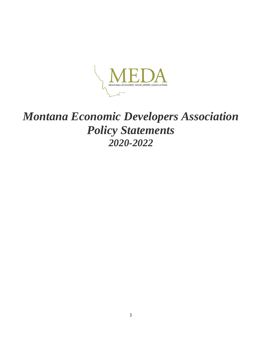

# *Montana Economic Developers Association Policy Statements 2020-2022*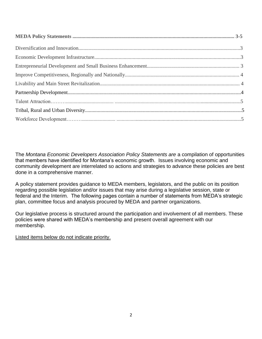The *Montana Economic Developers Association Policy Statements are* a compilation of opportunities that members have identified for Montana's economic growth. Issues involving economic and community development are interrelated so actions and strategies to advance these policies are best done in a comprehensive manner.

A policy statement provides guidance to MEDA members, legislators, and the public on its position regarding possible legislation and/or issues that may arise during a legislative session, state or federal and the Interim. The following pages contain a number of statements from MEDA's strategic plan, committee focus and analysis procured by MEDA and partner organizations.

Our legislative process is structured around the participation and involvement of all members. These policies were shared with MEDA's membership and present overall agreement with our membership.

Listed items below do not indicate priority.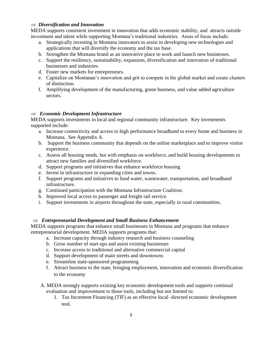#### *Diversification and Innovation*

MEDA supports consistent investment in innovation that adds economic stability, and attracts outside investment and talent while supporting Montana's traditional industries. Areas of focus include:

- a. Strategically investing in Montana innovators to assist in developing new technologies and applications that will diversify the economy and the tax base.
- b. Strengthen the Montana brand as an innovative place to work and launch new businesses.
- c. Support the resiliency, sustainability, expansion, diversification and innovation of traditional businesses and industries.
- d. Foster new markets for entrepreneurs.
- e. Capitalize on Montanan's innovation and grit to compete in the global market and create clusters of distinction.
- f. Amplifying development of the manufacturing, green business, and value added agriculture sectors.

### *Economic Development Infrastructure*

MEDA supports investments in local and regional community infrastructure. Key investments supported include:

- a. Increase connectivity and access to high performance broadband to every home and business in Montana. See Appendix A.
- b. Support the business community that depends on the online marketplace and to improve visitor experience.
- c. Assess all housing needs, but with emphasis on workforce, and build housing developments to attract new families and diversified workforce.
- d. Support programs and initiatives that enhance workforce housing
- e. Invest in infrastructure in expanding cities and towns.
- f. Support programs and initiatives to fund water, wastewater, transportation, and broadband infrastructure.
- g. Continued participation with the Montana Infrastructure Coalition.
- h. Improved local access to passenger and freight rail service.
- i. Support investments in airports throughout the state, especially in rural communities.

### *Entrepreneurial Development and Small Business Enhancement*

MEDA supports programs that enhance small businesses in Montana and programs that enhance entrepreneurial development. MEDA supports programs that:

- a. Increase capacity through industry research and business counseling
- b. Grow number of start-ups and assist existing businesses
- c. Increase access to traditional and alternative commercial capital
- d. Support development of main streets and downtowns
- e. Streamline state-sponsored programming
- f. Attract business to the state, bringing employment, innovation and economic diversification to the economy
- A. MEDA strongly supports existing key economic development tools and supports continual evaluation and improvement to those tools, including but not limited to:
	- 1. Tax Increment Financing (TIF) as an effective local- directed economic development tool.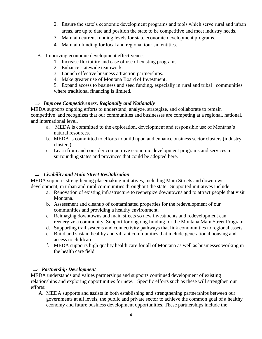- 2. Ensure the state's economic development programs and tools which serve rural and urban areas, are up to date and position the state to be competitive and meet industry needs.
- 3. Maintain current funding levels for state economic development programs.
- 4. Maintain funding for local and regional tourism entities.
- B. Improving economic development effectiveness.
	- 1. Increase flexibility and ease of use of existing programs.
	- 2. Enhance statewide teamwork.
	- 3. Launch effective business attraction partnerships.
	- 4. Make greater use of Montana Board of Investment.

5. Expand access to business and seed funding, especially in rural and tribal communities where traditional financing is limited.

## $\Rightarrow$  *Improve Competitiveness, Regionally and Nationally*

MEDA supports ongoing efforts to understand, analyze, strategize, and collaborate to remain competitive and recognizes that our communities and businesses are competing at a regional, national, and international level.

- a. MEDA is committed to the exploration, development and responsible use of Montana's natural resources.
- b. MEDA is committed to efforts to build upon and enhance business sector clusters (industry clusters).
- c. Learn from and consider competitive economic development programs and services in surrounding states and provinces that could be adopted here.

## *Livability and Main Street Revitalization*

MEDA supports strengthening placemaking initiatives, including Main Streets and downtown development, in urban and rural communities throughout the state. Supported initiatives include:

- a. Renovation of existing infrastructure to reenergize downtowns and to attract people that visit Montana.
- b. Assessment and cleanup of contaminated properties for the redevelopment of our communities and providing a healthy environment.
- c. Reimaging downtowns and main streets so new investments and redevelopment can reenergize a community. Support for ongoing funding for the Montana Main Street Program.
- d. Supporting trail systems and connectivity pathways that link communities to regional assets.
- e. Build and sustain healthy and vibrant communities that include generational housing and access to childcare
- f. MEDA supports high quality health care for all of Montana as well as businesses working in the health care field.

## *Partnership Development*

MEDA understands and values partnerships and supports continued development of existing relationships and exploring opportunities for new. Specific efforts such as these will strengthen our efforts:

A. MEDA supports and assists in both establishing and strengthening partnerships between our governments at all levels, the public and private sector to achieve the common goal of a healthy economy and future business development opportunities. These partnerships include the